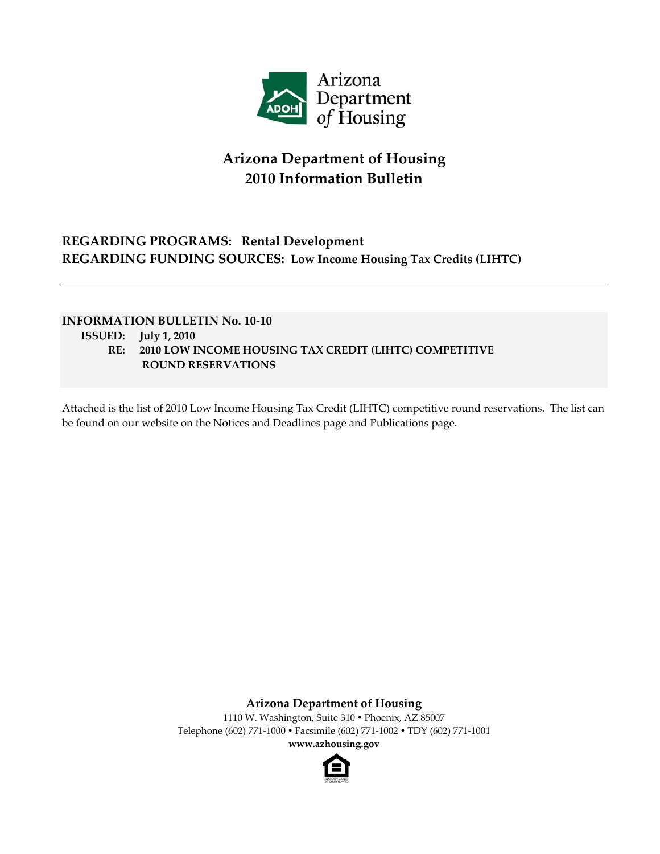

# **Arizona Department of Housing 2010 Information Bulletin**

## **REGARDING PROGRAMS: Rental Development REGARDING FUNDING SOURCES: Low Income Housing Tax Credits (LIHTC)**

### **INFORMATION BULLETIN No. 10‐10**

- **ISSUED: July 1, 2010**
	- **RE: 2010 LOW INCOME HOUSING TAX CREDIT (LIHTC) COMPETITIVE ROUND RESERVATIONS**

Attached is the list of 2010 Low Income Housing Tax Credit (LIHTC) competitive round reservations. The list can be found on our website on the Notices and [Deadlines](http://www.azhousing.gov/ShowPage.aspx?ID=256&CID=10) page and [Publications](http://www.azhousing.gov/ShowPage.aspx?ID=137&CID=15) page.

**Arizona Department of Housing**

1110 W. Washington, Suite 310 · Phoenix, AZ 85007 Telephone (602) 771‐1000 Facsimile (602) 771‐1002 TDY (602) 771‐1001 **www.azhousing.gov**

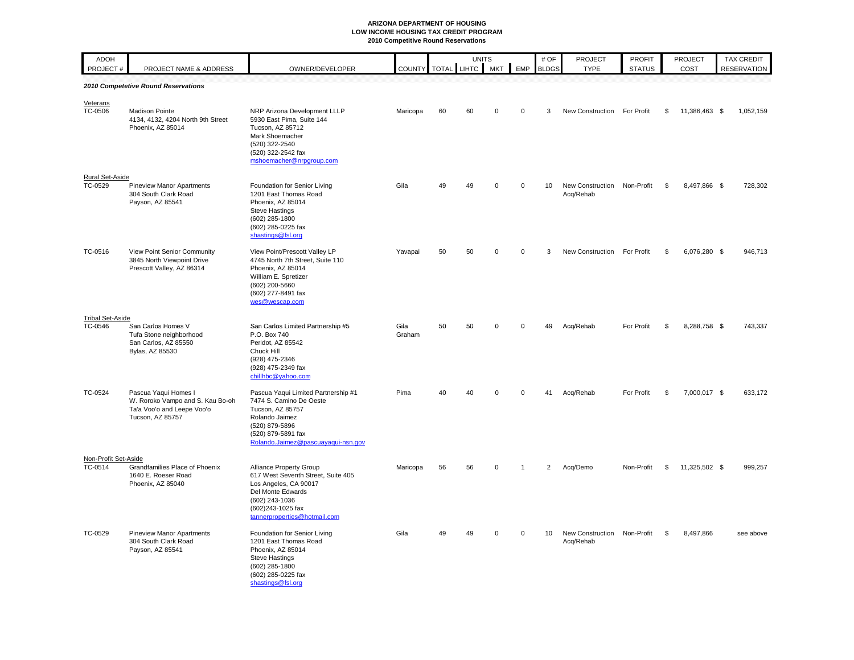### **ARIZONA DEPARTMENT OF HOUSING LOW INCOME HOUSING TAX CREDIT PROGRAM 2010 Competitive Round Reservations**

| <b>ADOH</b><br>PROJECT#           | PROJECT NAME & ADDRESS                                                                                     | OWNER/DEVELOPER                                                                                                                                                                           | COUNTY TOTAL LIHTC MKT |    | <b>UNITS</b> |             | EMP            | # OF<br><b>BLDGS</b> | <b>PROJECT</b><br><b>TYPE</b>            | <b>PROFIT</b><br><b>STATUS</b> |    | <b>PROJECT</b><br>COST |  | TAX CREDIT<br><b>RESERVATION</b> |
|-----------------------------------|------------------------------------------------------------------------------------------------------------|-------------------------------------------------------------------------------------------------------------------------------------------------------------------------------------------|------------------------|----|--------------|-------------|----------------|----------------------|------------------------------------------|--------------------------------|----|------------------------|--|----------------------------------|
|                                   | 2010 Competetive Round Reservations                                                                        |                                                                                                                                                                                           |                        |    |              |             |                |                      |                                          |                                |    |                        |  |                                  |
| Veterans<br>TC-0506               | <b>Madison Pointe</b><br>4134, 4132, 4204 North 9th Street<br>Phoenix, AZ 85014                            | NRP Arizona Development LLLP<br>5930 East Pima, Suite 144<br>Tucson, AZ 85712<br>Mark Shoemacher<br>(520) 322-2540<br>(520) 322-2542 fax                                                  | Maricopa               | 60 | 60           | $\mathbf 0$ | $\mathbf 0$    | 3                    | New Construction                         | For Profit                     | \$ | 11,386,463 \$          |  | 1,052,159                        |
|                                   |                                                                                                            | mshoemacher@nrpgroup.com                                                                                                                                                                  |                        |    |              |             |                |                      |                                          |                                |    |                        |  |                                  |
| <b>Rural Set-Aside</b><br>TC-0529 | <b>Pineview Manor Apartments</b><br>304 South Clark Road<br>Payson, AZ 85541                               | Foundation for Senior Living<br>1201 East Thomas Road<br>Phoenix, AZ 85014<br><b>Steve Hastings</b><br>(602) 285-1800<br>(602) 285-0225 fax<br>shastings@fsl.org                          | Gila                   | 49 | 49           | $\Omega$    | $\mathbf 0$    | 10                   | New Construction<br>Acq/Rehab            | Non-Profit                     | -S | 8,497,866 \$           |  | 728,302                          |
| TC-0516                           | View Point Senior Community<br>3845 North Viewpoint Drive<br>Prescott Valley, AZ 86314                     | View Point/Prescott Valley LP<br>4745 North 7th Street, Suite 110<br>Phoenix, AZ 85014<br>William E. Spretizer<br>(602) 200-5660<br>(602) 277-8491 fax<br>wes@wescap.com                  | Yavapai                | 50 | 50           | $\Omega$    | $\Omega$       | 3                    | New Construction For Profit              |                                | \$ | 6,076,280 \$           |  | 946,713                          |
| <b>Tribal Set-Aside</b>           |                                                                                                            |                                                                                                                                                                                           |                        |    |              |             |                |                      |                                          |                                |    |                        |  |                                  |
| TC-0546                           | San Carlos Homes V<br>Tufa Stone neighborhood<br>San Carlos, AZ 85550<br>Bylas, AZ 85530                   | San Carlos Limited Partnership #5<br>P.O. Box 740<br>Peridot, AZ 85542<br>Chuck Hill<br>(928) 475-2346<br>(928) 475-2349 fax<br>chillhbc@yahoo.com                                        | Gila<br>Graham         | 50 | 50           | $\Omega$    | $\Omega$       | 49                   | Acq/Rehab                                | For Profit                     | S  | 8.288.758 \$           |  | 743.337                          |
| TC-0524                           | Pascua Yaqui Homes I<br>W. Roroko Vampo and S. Kau Bo-oh<br>Ta'a Voo'o and Leepe Voo'o<br>Tucson, AZ 85757 | Pascua Yaqui Limited Partnership #1<br>7474 S. Camino De Oeste<br><b>Tucson, AZ 85757</b><br>Rolando Jaimez<br>(520) 879-5896<br>(520) 879-5891 fax<br>Rolando.Jaimez@pascuayaqui-nsn.gov | Pima                   | 40 | 40           | 0           | $\Omega$       | 41                   | Acq/Rehab                                | For Profit                     | \$ | 7,000,017 \$           |  | 633,172                          |
| Non-Profit Set-Aside<br>TC-0514   | Grandfamilies Place of Phoenix<br>1640 E. Roeser Road<br>Phoenix, AZ 85040                                 | Alliance Property Group<br>617 West Seventh Street, Suite 405<br>Los Angeles, CA 90017<br>Del Monte Edwards<br>(602) 243-1036<br>(602)243-1025 fax<br>tannerproperties@hotmail.com        | Maricopa               | 56 | 56           | $\mathbf 0$ | $\overline{1}$ | $\overline{2}$       | Acq/Demo                                 | Non-Profit                     | \$ | 11,325,502 \$          |  | 999,257                          |
| TC-0529                           | <b>Pineview Manor Apartments</b><br>304 South Clark Road<br>Payson, AZ 85541                               | Foundation for Senior Living<br>1201 East Thomas Road<br>Phoenix, AZ 85014<br><b>Steve Hastings</b><br>(602) 285-1800<br>(602) 285-0225 fax<br>shastings@fsl.org                          | Gila                   | 49 | 49           | $\Omega$    | $\mathbf 0$    | 10                   | New Construction Non-Profit<br>Acq/Rehab |                                | \$ | 8,497,866              |  | see above                        |